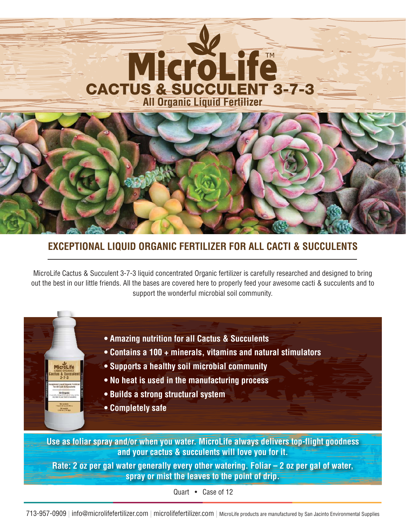## **All Organic Liquid Fertilizer** CACTUS & SUCCULENT 3-7-3



## **EXCEPTIONAL LIQUID ORGANIC FERTILIZER FOR ALL CACTI & SUCCULENTS**

MicroLife Cactus & Succulent 3-7-3 liquid concentrated Organic fertilizer is carefully researched and designed to bring out the best in our little friends. All the bases are covered here to properly feed your awesome cacti & succulents and to support the wonderful microbial soil community.

- **Amazing nutrition for all Cactus & Succulents**
- **Contains a 100 + minerals, vitamins and natural stimulators**
- **Supports a healthy soil microbial community**
- **No heat is used in the manufacturing process**
- **Builds a strong structural system**
- **Completely safe**

MicroLife

**Use as foliar spray and/or when you water. MicroLife always delivers top-flight goodness and your cactus & succulents will love you for it.**

**Rate: 2 oz per gal water generally every other watering. Foliar – 2 oz per gal of water, spray or mist the leaves to the point of drip.**

Quart • Case of 12